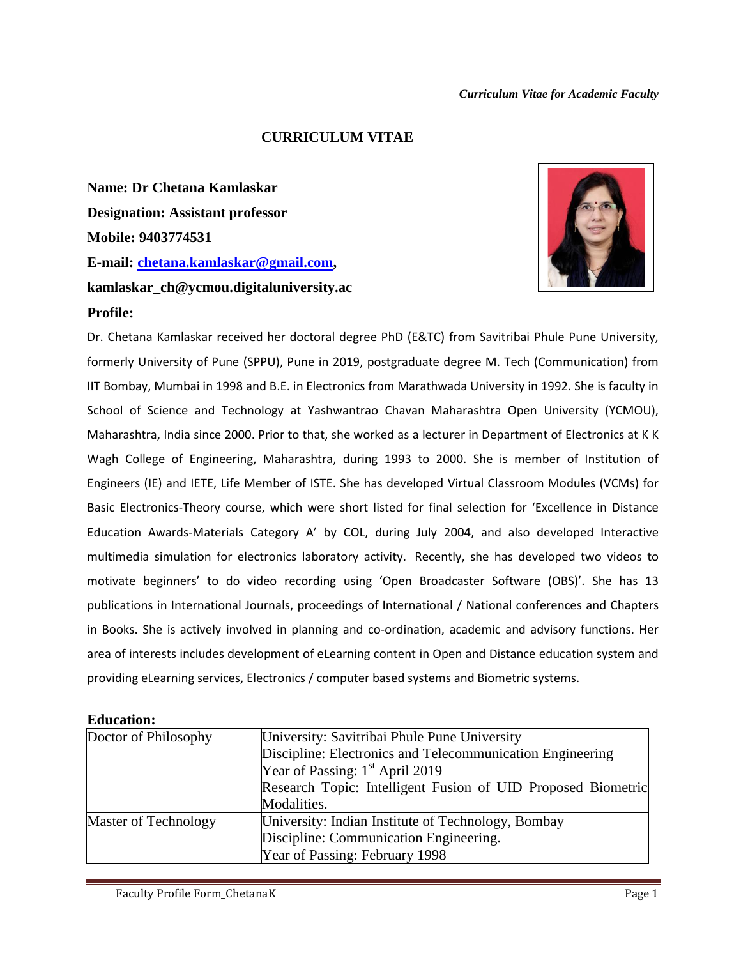#### *Curriculum Vitae for Academic Faculty*

#### **CURRICULUM VITAE**

**Name: Dr Chetana Kamlaskar Designation: Assistant professor Mobile: 9403774531 E-mail: [chetana.kamlaskar@gmail.com,](mailto:chetana.kamlaskar@gmail.com) kamlaskar\_ch@ycmou.digitaluniversity.ac**



#### **Profile:**

Dr. Chetana Kamlaskar received her doctoral degree PhD (E&TC) from Savitribai Phule Pune University, formerly University of Pune (SPPU), Pune in 2019, postgraduate degree M. Tech (Communication) from IIT Bombay, Mumbai in 1998 and B.E. in Electronics from Marathwada University in 1992. She is faculty in School of Science and Technology at Yashwantrao Chavan Maharashtra Open University (YCMOU), Maharashtra, India since 2000. Prior to that, she worked as a lecturer in Department of Electronics at K K Wagh College of Engineering, Maharashtra, during 1993 to 2000. She is member of Institution of Engineers (IE) and IETE, Life Member of ISTE. She has developed Virtual Classroom Modules (VCMs) for Basic Electronics-Theory course, which were short listed for final selection for 'Excellence in Distance Education Awards-Materials Category A' by COL, during July 2004, and also developed Interactive multimedia simulation for electronics laboratory activity. Recently, she has developed two videos to motivate beginners' to do video recording using 'Open Broadcaster Software (OBS)'. She has 13 publications in International Journals, proceedings of International / National conferences and Chapters in Books. She is actively involved in planning and co-ordination, academic and advisory functions. Her area of interests includes development of eLearning content in Open and Distance education system and providing eLearning services, Electronics / computer based systems and Biometric systems.

| Doctor of Philosophy | University: Savitribai Phule Pune University                 |  |  |
|----------------------|--------------------------------------------------------------|--|--|
|                      | Discipline: Electronics and Telecommunication Engineering    |  |  |
|                      | Year of Passing: $1st$ April 2019                            |  |  |
|                      | Research Topic: Intelligent Fusion of UID Proposed Biometric |  |  |
|                      | Modalities.                                                  |  |  |
| Master of Technology | University: Indian Institute of Technology, Bombay           |  |  |
|                      | Discipline: Communication Engineering.                       |  |  |
|                      | Year of Passing: February 1998                               |  |  |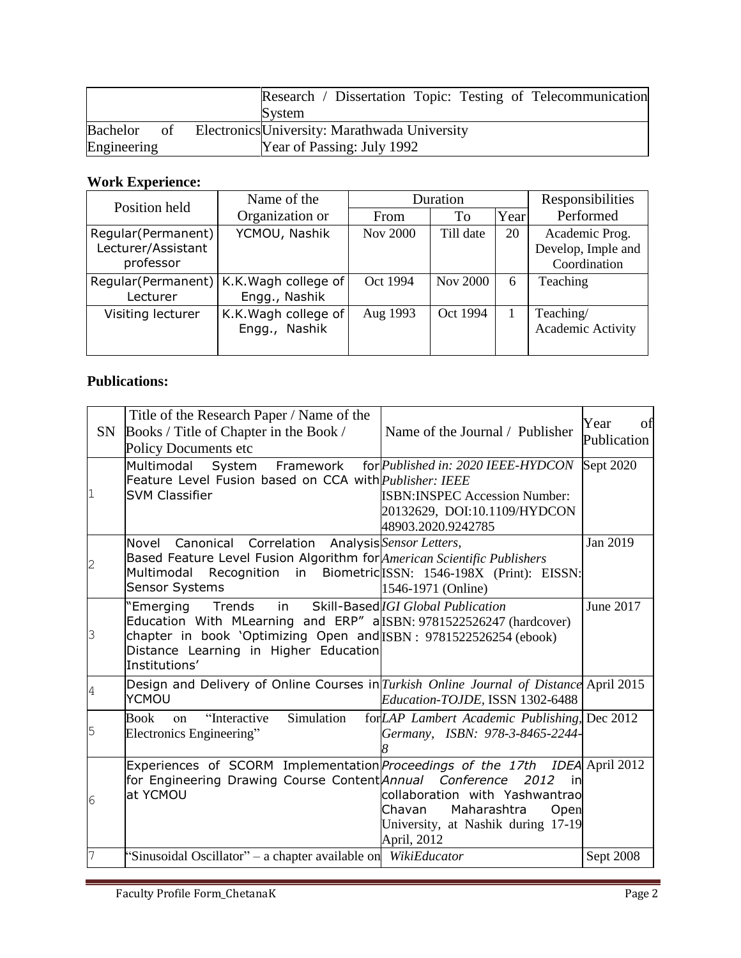|                | Research / Dissertation Topic: Testing of Telecommunication |
|----------------|-------------------------------------------------------------|
|                | System                                                      |
| Bachelor<br>of | Electronics University: Marathwada University               |
| Engineering    | Year of Passing: July 1992                                  |

# **Work Experience:**

| Position held                                          | Name of the                                                | Duration        |                 | Responsibilities |                                                      |
|--------------------------------------------------------|------------------------------------------------------------|-----------------|-----------------|------------------|------------------------------------------------------|
|                                                        | Organization or                                            | From            | To              | Year             | Performed                                            |
| Regular (Permanent)<br>Lecturer/Assistant<br>professor | YCMOU, Nashik                                              | <b>Nov 2000</b> | Till date       | 20               | Academic Prog.<br>Develop, Imple and<br>Coordination |
| Lecturer                                               | Regular(Permanent)   K.K. Wagh college of<br>Engg., Nashik | Oct 1994        | <b>Nov 2000</b> | 6                | Teaching                                             |
| Visiting lecturer                                      | K.K. Wagh college of<br>Nashik<br>Engg.,                   | Aug 1993        | Oct 1994        |                  | Teaching/<br>Academic Activity                       |

### **Publications:**

|                | Title of the Research Paper / Name of the<br>SN Books / Title of Chapter in the Book /<br>Policy Documents etc                                                                                                                                                     | Name of the Journal / Publisher                                                                                                    | Year<br>of<br>Publication |
|----------------|--------------------------------------------------------------------------------------------------------------------------------------------------------------------------------------------------------------------------------------------------------------------|------------------------------------------------------------------------------------------------------------------------------------|---------------------------|
| 1              | Multimodal System<br>Framework<br>Feature Level Fusion based on CCA with <i>Publisher: IEEE</i><br><b>SVM Classifier</b>                                                                                                                                           | for Published in: 2020 IEEE-HYDCON<br><b>ISBN:INSPEC Accession Number:</b><br>20132629, DOI:10.1109/HYDCON<br>48903.2020.9242785   | Sept 2020                 |
| $\overline{c}$ | Canonical Correlation<br>Novel<br>Based Feature Level Fusion Algorithm for American Scientific Publishers<br>Multimodal Recognition in Biometric ISSN: 1546-198X (Print): EISSN:<br><b>Sensor Systems</b>                                                          | Analysis Sensor Letters,<br>1546-1971 (Online)                                                                                     | Jan 2019                  |
| 3              | "Emerging Trends in Skill-Based <i>IGI Global Publication</i><br>Education With MLearning and ERP" allSBN: 9781522526247 (hardcover)<br>chapter in book 'Optimizing Open and ISBN: 9781522526254 (ebook)<br>Distance Learning in Higher Education<br>Institutions' |                                                                                                                                    | June 2017                 |
| $\overline{4}$ | Design and Delivery of Online Courses in Turkish Online Journal of Distance April 2015<br><b>YCMOU</b>                                                                                                                                                             | Education-TOJDE, ISSN 1302-6488                                                                                                    |                           |
| 5              | Simulation<br><b>Book</b><br>"Interactive<br>on<br>Electronics Engineering"                                                                                                                                                                                        | for LAP Lambert Academic Publishing, Dec 2012<br>Germany, ISBN: 978-3-8465-2244-                                                   |                           |
| 6              | Experiences of SCORM Implementation <i>Proceedings of the 17th IDEA</i> April 2012<br>for Engineering Drawing Course Content <i>Annual Conference</i><br>at YCMOU                                                                                                  | 2012<br>in<br>collaboration with Yashwantrao<br>Maharashtra<br>Chavan<br>Open<br>University, at Nashik during 17-19<br>April, 2012 |                           |
| 7              | "Sinusoidal Oscillator" – a chapter available on WikiEducator                                                                                                                                                                                                      |                                                                                                                                    | Sept 2008                 |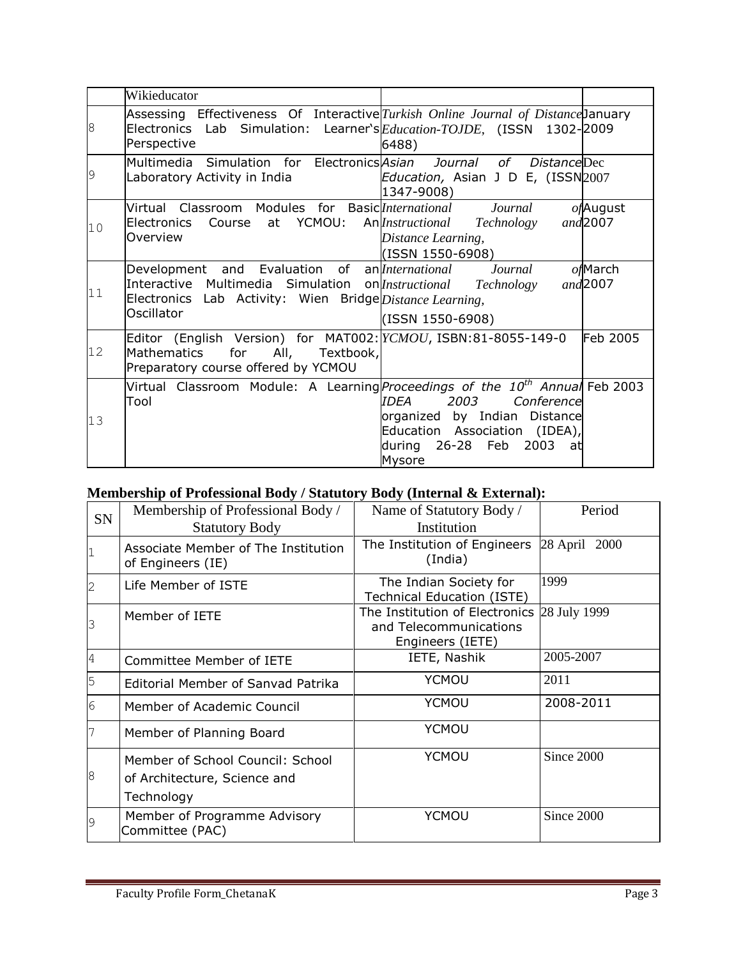|                | Wikieducator                                                                                                                                                                                 |                                                                                                                                                     |                        |
|----------------|----------------------------------------------------------------------------------------------------------------------------------------------------------------------------------------------|-----------------------------------------------------------------------------------------------------------------------------------------------------|------------------------|
| 8              | Assessing Effectiveness Of Interactive Turkish Online Journal of Distance January<br>Electronics Lab Simulation: Learner's Education-TOJDE, (ISSN 1302-2009<br>Perspective                   | 6488)                                                                                                                                               |                        |
| $\overline{9}$ | Multimedia Simulation for Electronics Asian<br>Laboratory Activity in India                                                                                                                  | Journal of DistanceDec<br>Education, Asian J D E, (ISSN2007<br>1347-9008)                                                                           |                        |
| 10             | Virtual Classroom Modules for Basiclnternational<br>Course at YCMOU:<br>Electronics<br>Overview                                                                                              | Journal<br>An <i>Instructional</i><br>Technology<br>Distance Learning,<br>(ISSN 1550-6908)                                                          | ofAugust<br>and 2007   |
| 11             | Development and Evaluation of an <i>lnternational</i><br>Interactive Multimedia Simulation on <i>Instructional</i><br>Electronics Lab Activity: Wien Bridge Distance Learning,<br>Oscillator | Journal<br>Technology<br>(ISSN 1550-6908)                                                                                                           | $of$ March<br>and 2007 |
| 12             | Editor (English Version) for MAT002: YCMOU, ISBN:81-8055-149-0<br>All,<br><b>Mathematics</b><br>for<br>Textbook,<br>Preparatory course offered by YCMOU                                      |                                                                                                                                                     | Feb 2005               |
| 13             | Virtual Classroom Module: A Learning <i>Proceedings of the 10<sup>th</sup> Annual</i> Feb 2003<br>Tool                                                                                       | <b>IDFA</b><br>2003<br>Conference<br>organized by Indian Distance<br>Education Association (IDEA),<br>2003<br>26-28 Feb<br>during<br>- at<br>Mysore |                        |

## **Membership of Professional Body / Statutory Body (Internal & External):**

| SN | Membership of Professional Body /<br><b>Statutory Body</b>                     | Name of Statutory Body /<br>Institution                                      | Period        |
|----|--------------------------------------------------------------------------------|------------------------------------------------------------------------------|---------------|
|    | Associate Member of The Institution<br>of Engineers (IE)                       | The Institution of Engineers<br>(India)                                      | 28 April 2000 |
|    | Life Member of ISTE                                                            | The Indian Society for<br><b>Technical Education (ISTE)</b>                  | 1999          |
| 3  | Member of IETE                                                                 | The Institution of Electronics<br>and Telecommunications<br>Engineers (IETE) | 28 July 1999  |
| 4  | Committee Member of IETE                                                       | IETE, Nashik                                                                 | 2005-2007     |
| 5  | Editorial Member of Sanvad Patrika                                             | <b>YCMOU</b>                                                                 | 2011          |
| 6  | Member of Academic Council                                                     | <b>YCMOU</b>                                                                 | 2008-2011     |
|    | Member of Planning Board                                                       | <b>YCMOU</b>                                                                 |               |
| 8  | Member of School Council: School<br>of Architecture, Science and<br>Technology | <b>YCMOU</b>                                                                 | Since 2000    |
| 9  | Member of Programme Advisory<br>Committee (PAC)                                | YCMOU                                                                        | Since 2000    |